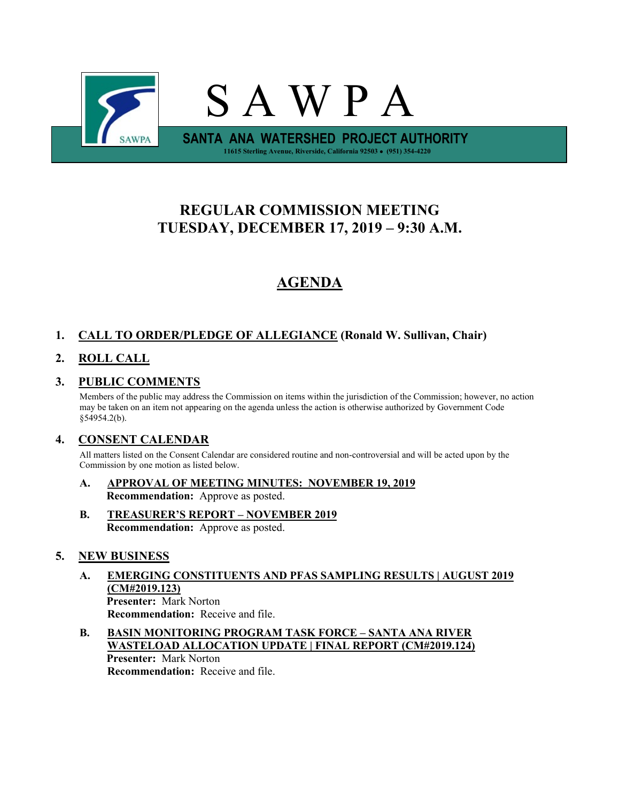

# **REGULAR COMMISSION MEETING TUESDAY, DECEMBER 17, 2019 – 9:30 A.M.**

# **AGENDA**

# **1. CALL TO ORDER/PLEDGE OF ALLEGIANCE (Ronald W. Sullivan, Chair)**

# **2. ROLL CALL**

# **3. PUBLIC COMMENTS**

Members of the public may address the Commission on items within the jurisdiction of the Commission; however, no action may be taken on an item not appearing on the agenda unless the action is otherwise authorized by Government Code §54954.2(b).

# **4. CONSENT CALENDAR**

All matters listed on the Consent Calendar are considered routine and non-controversial and will be acted upon by the Commission by one motion as listed below.

- **A. APPROVAL OF MEETING MINUTES: NOVEMBER 19, 2019 Recommendation:** Approve as posted.
- **B. TREASURER'S REPORT – NOVEMBER 2019 Recommendation:** Approve as posted.

## **5. NEW BUSINESS**

- **A. EMERGING CONSTITUENTS AND PFAS SAMPLING RESULTS | AUGUST 2019 (CM#2019.123) Presenter:** Mark Norton **Recommendation:** Receive and file.
- **B. BASIN MONITORING PROGRAM TASK FORCE – SANTA ANA RIVER WASTELOAD ALLOCATION UPDATE | FINAL REPORT (CM#2019.124) Presenter:** Mark Norton **Recommendation:** Receive and file.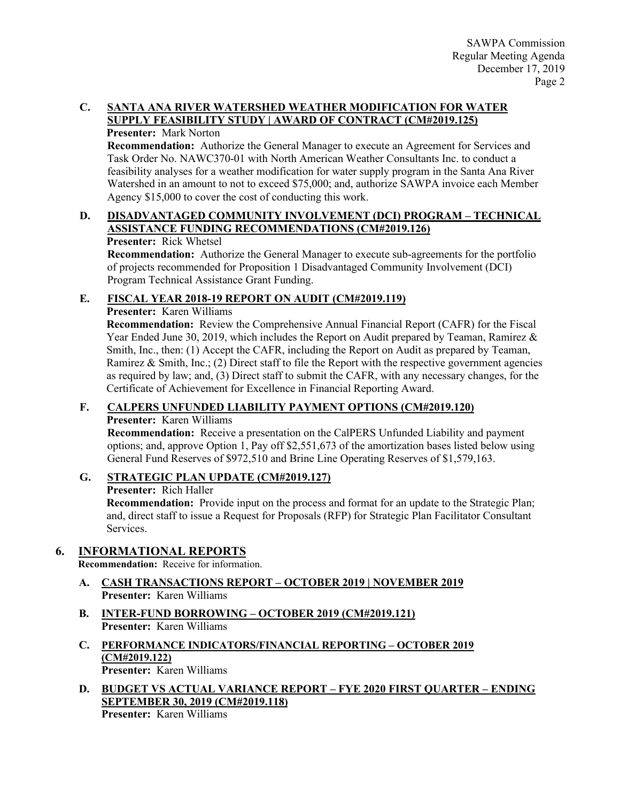## **C. SANTA ANA RIVER WATERSHED WEATHER MODIFICATION FOR WATER SUPPLY FEASIBILITY STUDY | AWARD OF CONTRACT (CM#2019.125)**

#### **Presenter:** Mark Norton

**Recommendation:** Authorize the General Manager to execute an Agreement for Services and Task Order No. NAWC370-01 with North American Weather Consultants Inc. to conduct a feasibility analyses for a weather modification for water supply program in the Santa Ana River Watershed in an amount to not to exceed \$75,000; and, authorize SAWPA invoice each Member Agency \$15,000 to cover the cost of conducting this work.

## **D. DISADVANTAGED COMMUNITY INVOLVEMENT (DCI) PROGRAM – TECHNICAL ASSISTANCE FUNDING RECOMMENDATIONS (CM#2019.126)**

#### **Presenter:** Rick Whetsel

**Recommendation:** Authorize the General Manager to execute sub-agreements for the portfolio of projects recommended for Proposition 1 Disadvantaged Community Involvement (DCI) Program Technical Assistance Grant Funding.

## **E. FISCAL YEAR 2018-19 REPORT ON AUDIT (CM#2019.119)**

#### **Presenter:** Karen Williams

**Recommendation:** Review the Comprehensive Annual Financial Report (CAFR) for the Fiscal Year Ended June 30, 2019, which includes the Report on Audit prepared by Teaman, Ramirez & Smith, Inc., then: (1) Accept the CAFR, including the Report on Audit as prepared by Teaman, Ramirez & Smith, Inc.; (2) Direct staff to file the Report with the respective government agencies as required by law; and, (3) Direct staff to submit the CAFR, with any necessary changes, for the Certificate of Achievement for Excellence in Financial Reporting Award.

#### **F. CALPERS UNFUNDED LIABILITY PAYMENT OPTIONS (CM#2019.120)**

## **Presenter:** Karen Williams

**Recommendation:** Receive a presentation on the CalPERS Unfunded Liability and payment options; and, approve Option 1, Pay off \$2,551,673 of the amortization bases listed below using General Fund Reserves of \$972,510 and Brine Line Operating Reserves of \$1,579,163.

## **G. STRATEGIC PLAN UPDATE (CM#2019.127)**

**Presenter:** Rich Haller

**Recommendation:** Provide input on the process and format for an update to the Strategic Plan; and, direct staff to issue a Request for Proposals (RFP) for Strategic Plan Facilitator Consultant Services.

## **6. INFORMATIONAL REPORTS**

**Recommendation:** Receive for information.

- **A. CASH TRANSACTIONS REPORT – OCTOBER 2019 | NOVEMBER 2019 Presenter:** Karen Williams
- **B. INTER-FUND BORROWING – OCTOBER 2019 (CM#2019.121) Presenter:** Karen Williams
- **C. PERFORMANCE INDICATORS/FINANCIAL REPORTING – OCTOBER 2019 (CM#2019.122) Presenter:** Karen Williams
- **D. BUDGET VS ACTUAL VARIANCE REPORT – FYE 2020 FIRST QUARTER – ENDING SEPTEMBER 30, 2019 (CM#2019.118) Presenter:** Karen Williams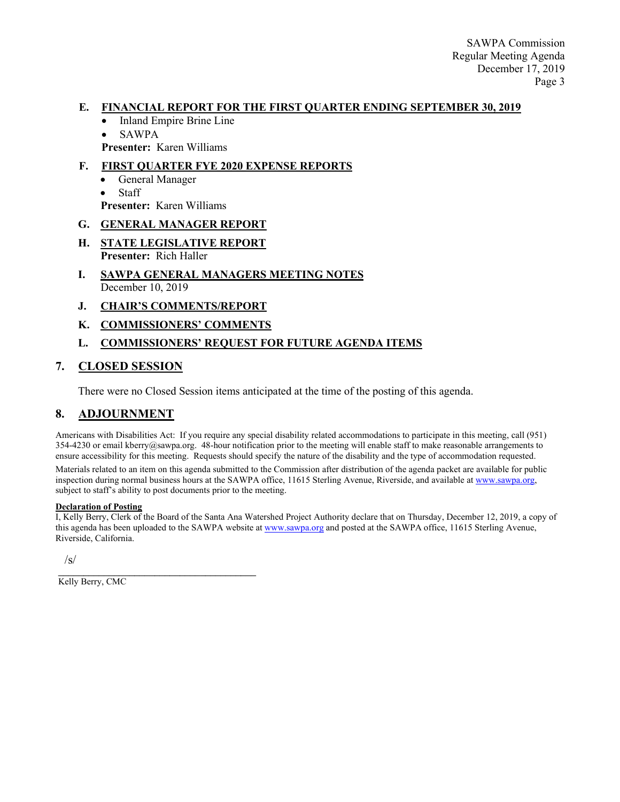#### **E. FINANCIAL REPORT FOR THE FIRST QUARTER ENDING SEPTEMBER 30, 2019**

- Inland Empire Brine Line
- SAWPA
- **Presenter:** Karen Williams

#### **F. FIRST QUARTER FYE 2020 EXPENSE REPORTS**

- General Manager
- Staff
- **Presenter:** Karen Williams

#### **G. GENERAL MANAGER REPORT**

- **H. STATE LEGISLATIVE REPORT Presenter:** Rich Haller
- **I. SAWPA GENERAL MANAGERS MEETING NOTES** December 10, 2019
- **J. CHAIR'S COMMENTS/REPORT**
- **K. COMMISSIONERS' COMMENTS**

#### **L. COMMISSIONERS' REQUEST FOR FUTURE AGENDA ITEMS**

## **7. CLOSED SESSION**

There were no Closed Session items anticipated at the time of the posting of this agenda.

## **8. ADJOURNMENT**

Americans with Disabilities Act: If you require any special disability related accommodations to participate in this meeting, call (951) 354-4230 or email kberry@sawpa.org. 48-hour notification prior to the meeting will enable staff to make reasonable arrangements to ensure accessibility for this meeting. Requests should specify the nature of the disability and the type of accommodation requested.

Materials related to an item on this agenda submitted to the Commission after distribution of the agenda packet are available for public inspection during normal business hours at the SAWPA office, 11615 Sterling Avenue, Riverside, and available a[t www.sawpa.org,](http://www.sawpa.org/) subject to staff's ability to post documents prior to the meeting.

#### **Declaration of Posting**

I, Kelly Berry, Clerk of the Board of the Santa Ana Watershed Project Authority declare that on Thursday, December 12, 2019, a copy of this agenda has been uploaded to the SAWPA website a[t www.sawpa.org](http://www.sawpa.org/) and posted at the SAWPA office, 11615 Sterling Avenue, Riverside, California.

 $\sqrt{s}$ 

\_\_\_\_\_\_\_\_\_\_\_\_\_\_\_\_\_\_\_\_\_\_\_\_\_\_\_\_\_\_\_\_\_\_\_\_\_\_\_ Kelly Berry, CMC